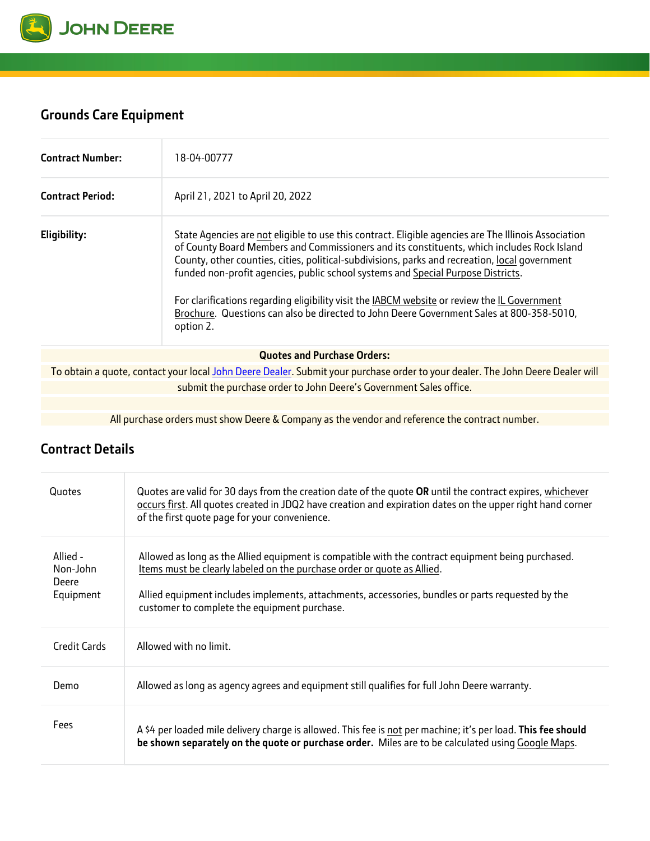

## **Grounds Care Equipment**

| <b>Contract Number:</b> | 18-04-00777                                                                                                                                                                                                                                                                                                                                                                                                                                                                                                                                                                                       |
|-------------------------|---------------------------------------------------------------------------------------------------------------------------------------------------------------------------------------------------------------------------------------------------------------------------------------------------------------------------------------------------------------------------------------------------------------------------------------------------------------------------------------------------------------------------------------------------------------------------------------------------|
| <b>Contract Period:</b> | April 21, 2021 to April 20, 2022                                                                                                                                                                                                                                                                                                                                                                                                                                                                                                                                                                  |
| Eligibility:            | State Agencies are not eligible to use this contract. Eligible agencies are The Illinois Association<br>of County Board Members and Commissioners and its constituents, which includes Rock Island<br>County, other counties, cities, political-subdivisions, parks and recreation, local government<br>funded non-profit agencies, public school systems and Special Purpose Districts.<br>For clarifications regarding eligibility visit the IABCM website or review the IL Government<br>Brochure. Questions can also be directed to John Deere Government Sales at 800-358-5010,<br>option 2. |
|                         | <b>Quotes and Purchase Orders:</b>                                                                                                                                                                                                                                                                                                                                                                                                                                                                                                                                                                |
|                         | To obtain a quote, contact your local John Deere Dealer. Submit your purchase order to your dealer. The John Deere Dealer will                                                                                                                                                                                                                                                                                                                                                                                                                                                                    |
|                         | submit the purchase order to John Deere's Government Sales office.                                                                                                                                                                                                                                                                                                                                                                                                                                                                                                                                |
|                         |                                                                                                                                                                                                                                                                                                                                                                                                                                                                                                                                                                                                   |

All purchase orders must show Deere & Company as the vendor and reference the contract number.

## **Contract Details**

| Quotes                                     | Quotes are valid for 30 days from the creation date of the quote OR until the contract expires, whichever<br>occurs first. All quotes created in JDQ2 have creation and expiration dates on the upper right hand corner<br>of the first quote page for your convenience.                                                           |
|--------------------------------------------|------------------------------------------------------------------------------------------------------------------------------------------------------------------------------------------------------------------------------------------------------------------------------------------------------------------------------------|
| Allied -<br>Non-John<br>Deere<br>Equipment | Allowed as long as the Allied equipment is compatible with the contract equipment being purchased.<br>Items must be clearly labeled on the purchase order or quote as Allied.<br>Allied equipment includes implements, attachments, accessories, bundles or parts requested by the<br>customer to complete the equipment purchase. |
| Credit Cards                               | Allowed with no limit.                                                                                                                                                                                                                                                                                                             |
| Demo                                       | Allowed as long as agency agrees and equipment still qualifies for full John Deere warranty.                                                                                                                                                                                                                                       |
| Fees                                       | A \$4 per loaded mile delivery charge is allowed. This fee is not per machine; it's per load. This fee should<br>be shown separately on the quote or purchase order. Miles are to be calculated using Google Maps.                                                                                                                 |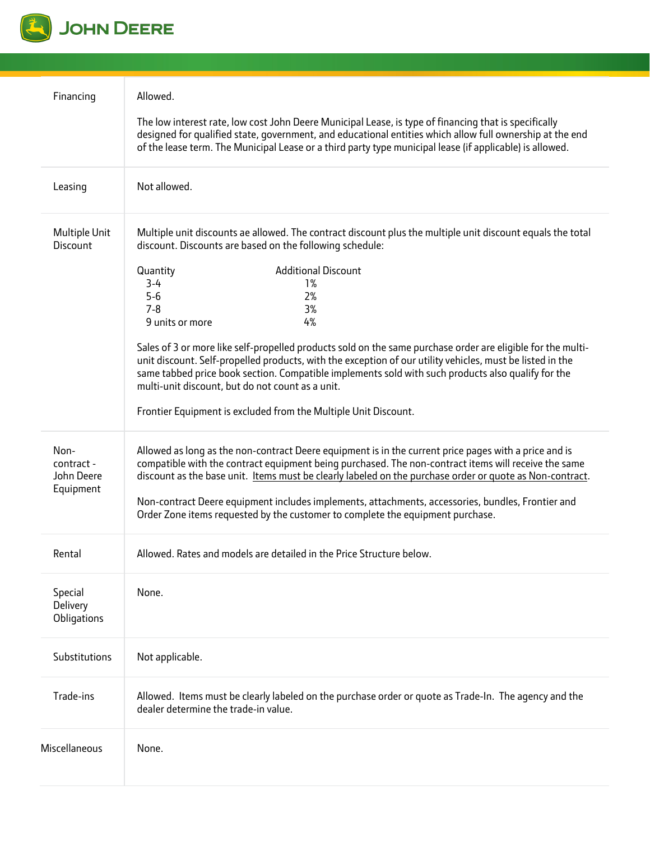

| Financing                                     | Allowed.<br>The low interest rate, low cost John Deere Municipal Lease, is type of financing that is specifically<br>designed for qualified state, government, and educational entities which allow full ownership at the end<br>of the lease term. The Municipal Lease or a third party type municipal lease (if applicable) is allowed.                                                                                                                                                                                                                                                                                                                                                                                                         |  |
|-----------------------------------------------|---------------------------------------------------------------------------------------------------------------------------------------------------------------------------------------------------------------------------------------------------------------------------------------------------------------------------------------------------------------------------------------------------------------------------------------------------------------------------------------------------------------------------------------------------------------------------------------------------------------------------------------------------------------------------------------------------------------------------------------------------|--|
| Leasing                                       | Not allowed.                                                                                                                                                                                                                                                                                                                                                                                                                                                                                                                                                                                                                                                                                                                                      |  |
| Multiple Unit<br>Discount                     | Multiple unit discounts ae allowed. The contract discount plus the multiple unit discount equals the total<br>discount. Discounts are based on the following schedule:<br><b>Additional Discount</b><br>Quantity<br>$3-4$<br>1%<br>$5-6$<br>2%<br>$7 - 8$<br>3%<br>4%<br>9 units or more<br>Sales of 3 or more like self-propelled products sold on the same purchase order are eligible for the multi-<br>unit discount. Self-propelled products, with the exception of our utility vehicles, must be listed in the<br>same tabbed price book section. Compatible implements sold with such products also qualify for the<br>multi-unit discount, but do not count as a unit.<br>Frontier Equipment is excluded from the Multiple Unit Discount. |  |
| Non-<br>contract -<br>John Deere<br>Equipment | Allowed as long as the non-contract Deere equipment is in the current price pages with a price and is<br>compatible with the contract equipment being purchased. The non-contract items will receive the same<br>discount as the base unit. Items must be clearly labeled on the purchase order or quote as Non-contract.<br>Non-contract Deere equipment includes implements, attachments, accessories, bundles, Frontier and<br>Order Zone items requested by the customer to complete the equipment purchase.                                                                                                                                                                                                                                  |  |
| Rental                                        | Allowed. Rates and models are detailed in the Price Structure below.                                                                                                                                                                                                                                                                                                                                                                                                                                                                                                                                                                                                                                                                              |  |
| Special<br>Delivery<br>Obligations            | None.                                                                                                                                                                                                                                                                                                                                                                                                                                                                                                                                                                                                                                                                                                                                             |  |
| Substitutions                                 | Not applicable.                                                                                                                                                                                                                                                                                                                                                                                                                                                                                                                                                                                                                                                                                                                                   |  |
| Trade-ins                                     | Allowed. Items must be clearly labeled on the purchase order or quote as Trade-In. The agency and the<br>dealer determine the trade-in value.                                                                                                                                                                                                                                                                                                                                                                                                                                                                                                                                                                                                     |  |
| Miscellaneous                                 | None.                                                                                                                                                                                                                                                                                                                                                                                                                                                                                                                                                                                                                                                                                                                                             |  |
|                                               |                                                                                                                                                                                                                                                                                                                                                                                                                                                                                                                                                                                                                                                                                                                                                   |  |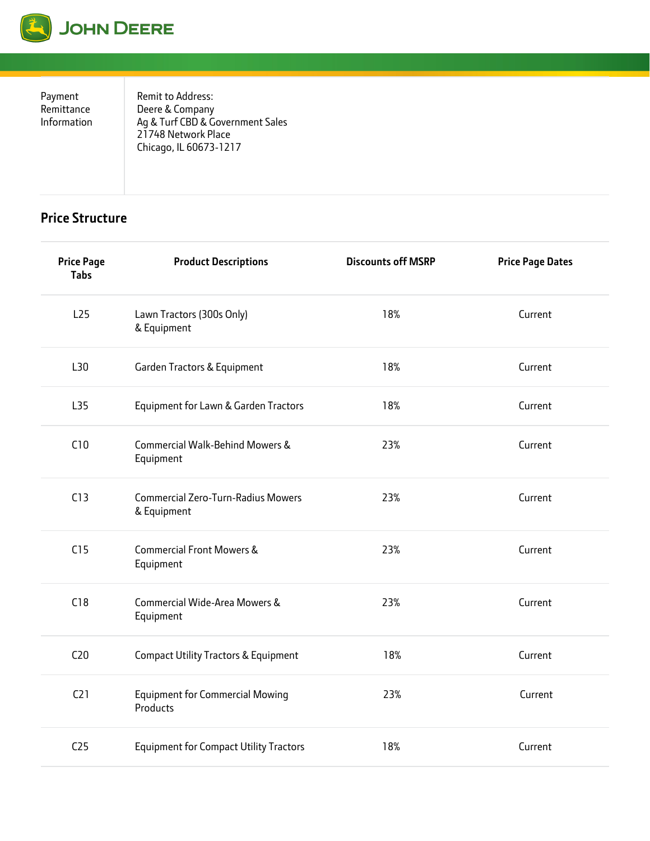

Payment Remittance Information Remit to Address: Deere & Company Ag & Turf CBD & Government Sales 21748 Network Place Chicago, IL 60673-1217

## **Price Structure**

| <b>Price Page</b><br><b>Tabs</b> | <b>Product Descriptions</b>                              | <b>Discounts off MSRP</b> | <b>Price Page Dates</b> |
|----------------------------------|----------------------------------------------------------|---------------------------|-------------------------|
| L25                              | Lawn Tractors (300s Only)<br>& Equipment                 | 18%                       | Current                 |
| L30                              | Garden Tractors & Equipment                              | 18%                       | Current                 |
| L35                              | Equipment for Lawn & Garden Tractors                     | 18%                       | Current                 |
| C10                              | Commercial Walk-Behind Mowers &<br>Equipment             | 23%                       | Current                 |
| C13                              | <b>Commercial Zero-Turn-Radius Mowers</b><br>& Equipment | 23%                       | Current                 |
| C15                              | <b>Commercial Front Mowers &amp;</b><br>Equipment        | 23%                       | Current                 |
| C18                              | Commercial Wide-Area Mowers &<br>Equipment               | 23%                       | Current                 |
| C <sub>20</sub>                  | Compact Utility Tractors & Equipment                     | 18%                       | Current                 |
| C21                              | <b>Equipment for Commercial Mowing</b><br>Products       | 23%                       | Current                 |
| C <sub>25</sub>                  | <b>Equipment for Compact Utility Tractors</b>            | 18%                       | Current                 |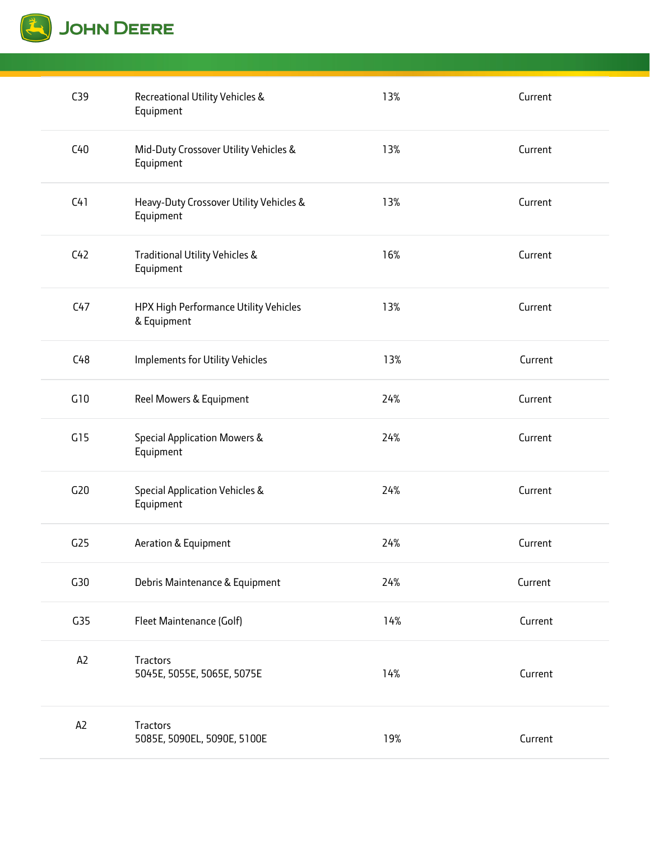

| C39             | Recreational Utility Vehicles &<br>Equipment         | 13% | Current |
|-----------------|------------------------------------------------------|-----|---------|
| C40             | Mid-Duty Crossover Utility Vehicles &<br>Equipment   | 13% | Current |
| C41             | Heavy-Duty Crossover Utility Vehicles &<br>Equipment | 13% | Current |
| C42             | Traditional Utility Vehicles &<br>Equipment          | 16% | Current |
| C47             | HPX High Performance Utility Vehicles<br>& Equipment | 13% | Current |
| C48             | Implements for Utility Vehicles                      | 13% | Current |
| G10             | Reel Mowers & Equipment                              | 24% | Current |
| G15             | Special Application Mowers &<br>Equipment            | 24% | Current |
| G20             | Special Application Vehicles &<br>Equipment          | 24% | Current |
| G <sub>25</sub> | Aeration & Equipment                                 | 24% | Current |
| G30             | Debris Maintenance & Equipment                       | 24% | Current |
| G <sub>35</sub> | Fleet Maintenance (Golf)                             | 14% | Current |
| A <sub>2</sub>  | Tractors<br>5045E, 5055E, 5065E, 5075E               | 14% | Current |
| A <sub>2</sub>  | Tractors<br>5085E, 5090EL, 5090E, 5100E              | 19% | Current |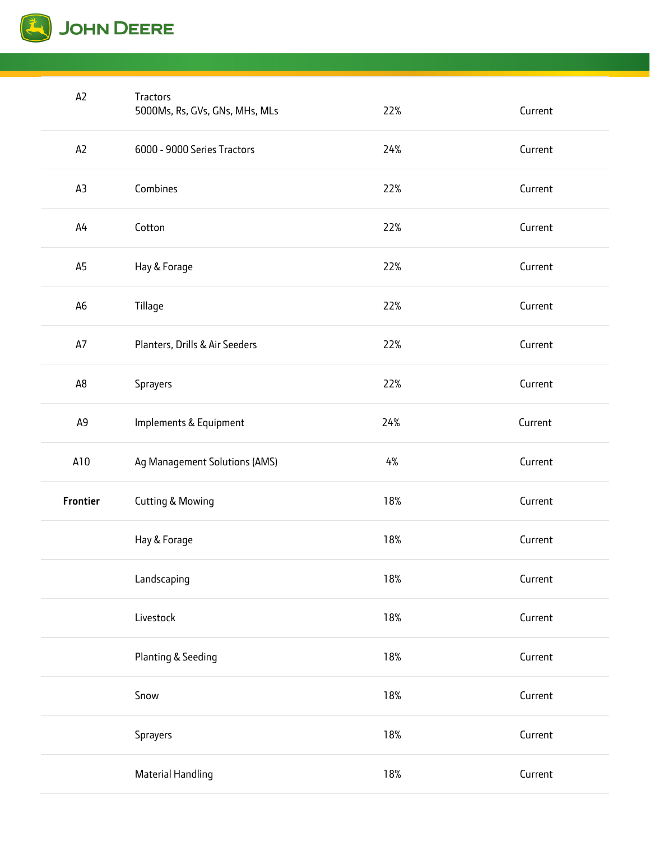

| A <sub>2</sub> | Tractors<br>5000Ms, Rs, GVs, GNs, MHs, MLs | 22%   | Current |
|----------------|--------------------------------------------|-------|---------|
| A <sub>2</sub> | 6000 - 9000 Series Tractors                | 24%   | Current |
| A3             | Combines                                   | 22%   | Current |
| A <sup>4</sup> | Cotton                                     | 22%   | Current |
| A5             | Hay & Forage                               | 22%   | Current |
| A6             | Tillage                                    | 22%   | Current |
| A7             | Planters, Drills & Air Seeders             | 22%   | Current |
| A8             | Sprayers                                   | 22%   | Current |
| A <sub>9</sub> | Implements & Equipment                     | 24%   | Current |
|                |                                            |       |         |
| A10            | Ag Management Solutions (AMS)              | $4\%$ | Current |
| Frontier       | <b>Cutting &amp; Mowing</b>                | 18%   | Current |
|                | Hay & Forage                               | 18%   | Current |
|                | Landscaping                                | 18%   | Current |
|                | Livestock                                  | 18%   | Current |
|                | Planting & Seeding                         | 18%   | Current |
|                | Snow                                       | 18%   | Current |
|                | Sprayers                                   | 18%   | Current |